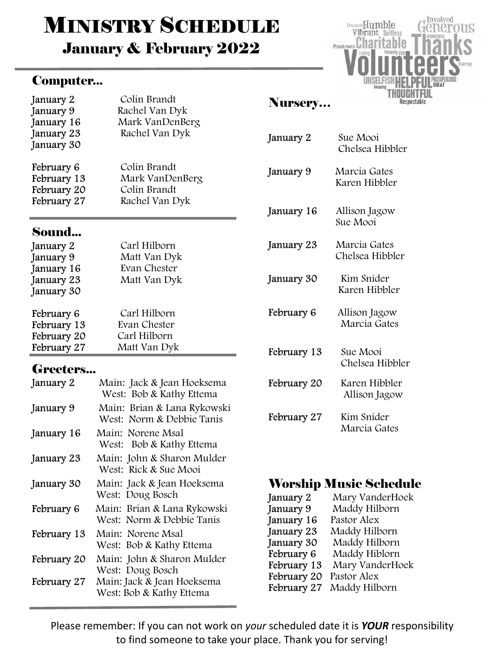# **MINISTRY SCHEDULE**

January & February 2022

#### Computer...



#### January 2 Colin Brandt January 9 Rachel Van Dyk January 16 Mark VanDenBerg January 23 Rachel Van Dyk January 30 February 6 Colin Brandt<br>February 13 Mark VanDer Mark VanDenBerg February 20 Colin Brandt February 27 Rachel Van Dyk **Sound...**<br>January 2 Carl Hilborn

| $J^{\text{univary}}$ |              |
|----------------------|--------------|
| January 9            | Matt Van Dyk |
| January 16           | Evan Chester |
| January 23           | Matt Van Dyk |
| January 30           |              |
| February 6           | Carl Hilborn |
| February 13          | Evan Chester |
| February 20          | Carl Hilborn |
| February 27          | Matt Van Dyk |

#### Greeters...

| January 2   | Main: Jack & Jean Hoeksema<br>West: Bob & Kathy Ettema   |
|-------------|----------------------------------------------------------|
| January 9   | Main: Brian & Lana Rykowski<br>West: Norm & Debbie Tanis |
| January 16  | Main: Norene Msal<br>West: Bob & Kathy Ettema            |
| January 23  | Main: John & Sharon Mulder<br>West: Rick & Sue Mooi      |
| January 30  | Main: Jack & Jean Hoeksema<br>West: Doug Bosch           |
| February 6  | Main: Brian & Lana Rykowski<br>West: Norm & Debbie Tanis |
| February 13 | Main: Norene Msal<br>West: Bob & Kathy Ettema            |
| February 20 | Main: John & Sharon Mulder<br>West: Doug Bosch           |
| February 27 | Main: Jack & Jean Hoeksema<br>West: Bob & Kathy Ettema   |

#### Nursery…

| January 2   | Sue Mooi<br>Chelsea Hibbler     |  |  |
|-------------|---------------------------------|--|--|
| January 9   | Marcia Gates<br>Karen Hibbler   |  |  |
| January 16  | Allison Jagow<br>Sue Mooi       |  |  |
| January 23  | Marcia Gates<br>Chelsea Hibbler |  |  |
| January 30  | Kim Snider<br>Karen Hibbler     |  |  |
| February 6  | Allison Jagow<br>Marcia Gates   |  |  |
| February 13 | Sue Mooi<br>Chelsea Hibbler     |  |  |
| February 20 | Karen Hibbler<br>Allison Jagow  |  |  |
| February 27 | Kim Snider<br>Marcia Gates      |  |  |

# Worship Music Schedule

| January 2   | Mary VanderHoek |
|-------------|-----------------|
| January 9   | Maddy Hilborn   |
| January 16  | Pastor Alex     |
| January 23  | Maddy Hilborn   |
| January 30  | Maddy Hilborn   |
| February 6  | Maddy Hiblorn   |
| February 13 | Mary VanderHoek |
| February 20 | Pastor Alex     |
| February 27 | Maddy Hilborn   |

Please remember: If you can not work on your scheduled date it is YOUR responsibility to find someone to take your place. Thank you for serving!